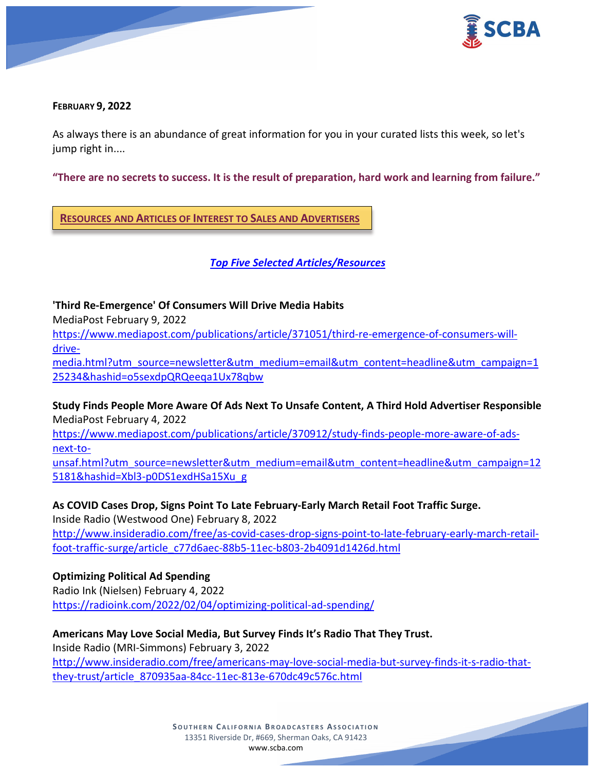



#### **FEBRUARY 9, 2022**

As always there is an abundance of great information for you in your curated lists this week, so let's jump right in....

**"There are no secrets to success. It is the result of preparation, hard work and learning from failure."**

**RESOURCES AND ARTICLES OF INTEREST TO SALES AND ADVERTISERS**

*Top Five Selected Articles/Resources*

**'Third Re-Emergence' Of Consumers Will Drive Media Habits**

MediaPost February 9, 2022

[https://www.mediapost.com/publications/article/371051/third-re-emergence-of-consumers-will](https://www.mediapost.com/publications/article/371051/third-re-emergence-of-consumers-will-drive-media.html?utm_source=newsletter&utm_medium=email&utm_content=headline&utm_campaign=125234&hashid=o5sexdpQRQeeqa1Ux78qbw)[drive-](https://www.mediapost.com/publications/article/371051/third-re-emergence-of-consumers-will-drive-media.html?utm_source=newsletter&utm_medium=email&utm_content=headline&utm_campaign=125234&hashid=o5sexdpQRQeeqa1Ux78qbw)

[media.html?utm\\_source=newsletter&utm\\_medium=email&utm\\_content=headline&utm\\_campaign=1](https://www.mediapost.com/publications/article/371051/third-re-emergence-of-consumers-will-drive-media.html?utm_source=newsletter&utm_medium=email&utm_content=headline&utm_campaign=125234&hashid=o5sexdpQRQeeqa1Ux78qbw) [25234&hashid=o5sexdpQRQeeqa1Ux78qbw](https://www.mediapost.com/publications/article/371051/third-re-emergence-of-consumers-will-drive-media.html?utm_source=newsletter&utm_medium=email&utm_content=headline&utm_campaign=125234&hashid=o5sexdpQRQeeqa1Ux78qbw)

**Study Finds People More Aware Of Ads Next To Unsafe Content, A Third Hold Advertiser Responsible** MediaPost February 4, 2022

[https://www.mediapost.com/publications/article/370912/study-finds-people-more-aware-of-ads](https://www.mediapost.com/publications/article/370912/study-finds-people-more-aware-of-ads-next-to-unsaf.html?utm_source=newsletter&utm_medium=email&utm_content=headline&utm_campaign=125181&hashid=Xbl3-p0DS1exdHSa15Xu_g)[next-to-](https://www.mediapost.com/publications/article/370912/study-finds-people-more-aware-of-ads-next-to-unsaf.html?utm_source=newsletter&utm_medium=email&utm_content=headline&utm_campaign=125181&hashid=Xbl3-p0DS1exdHSa15Xu_g)

[unsaf.html?utm\\_source=newsletter&utm\\_medium=email&utm\\_content=headline&utm\\_campaign=12](https://www.mediapost.com/publications/article/370912/study-finds-people-more-aware-of-ads-next-to-unsaf.html?utm_source=newsletter&utm_medium=email&utm_content=headline&utm_campaign=125181&hashid=Xbl3-p0DS1exdHSa15Xu_g) [5181&hashid=Xbl3-p0DS1exdHSa15Xu\\_g](https://www.mediapost.com/publications/article/370912/study-finds-people-more-aware-of-ads-next-to-unsaf.html?utm_source=newsletter&utm_medium=email&utm_content=headline&utm_campaign=125181&hashid=Xbl3-p0DS1exdHSa15Xu_g)

## **As COVID Cases Drop, Signs Point To Late February-Early March Retail Foot Traffic Surge.**

Inside Radio (Westwood One) February 8, 2022 [http://www.insideradio.com/free/as-covid-cases-drop-signs-point-to-late-february-early-march-retail](http://www.insideradio.com/free/as-covid-cases-drop-signs-point-to-late-february-early-march-retail-foot-traffic-surge/article_c77d6aec-88b5-11ec-b803-2b4091d1426d.html)[foot-traffic-surge/article\\_c77d6aec-88b5-11ec-b803-2b4091d1426d.html](http://www.insideradio.com/free/as-covid-cases-drop-signs-point-to-late-february-early-march-retail-foot-traffic-surge/article_c77d6aec-88b5-11ec-b803-2b4091d1426d.html)

## **Optimizing Political Ad Spending**

Radio Ink (Nielsen) February 4, 2022 <https://radioink.com/2022/02/04/optimizing-political-ad-spending/>

# **Americans May Love Social Media, But Survey Finds It's Radio That They Trust.**

Inside Radio (MRI-Simmons) February 3, 2022

[http://www.insideradio.com/free/americans-may-love-social-media-but-survey-finds-it-s-radio-that](http://www.insideradio.com/free/americans-may-love-social-media-but-survey-finds-it-s-radio-that-they-trust/article_870935aa-84cc-11ec-813e-670dc49c576c.html)[they-trust/article\\_870935aa-84cc-11ec-813e-670dc49c576c.html](http://www.insideradio.com/free/americans-may-love-social-media-but-survey-finds-it-s-radio-that-they-trust/article_870935aa-84cc-11ec-813e-670dc49c576c.html)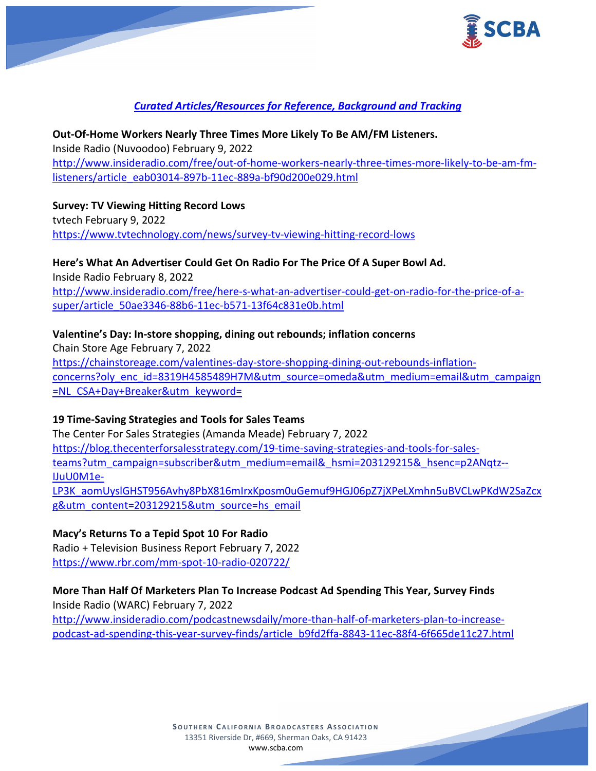

## *Curated Articles/Resources for Reference, Background and Tracking*

## **Out-Of-Home Workers Nearly Three Times More Likely To Be AM/FM Listeners.** Inside Radio (Nuvoodoo) February 9, 2022 [http://www.insideradio.com/free/out-of-home-workers-nearly-three-times-more-likely-to-be-am-fm](http://www.insideradio.com/free/out-of-home-workers-nearly-three-times-more-likely-to-be-am-fm-listeners/article_eab03014-897b-11ec-889a-bf90d200e029.html)[listeners/article\\_eab03014-897b-11ec-889a-bf90d200e029.html](http://www.insideradio.com/free/out-of-home-workers-nearly-three-times-more-likely-to-be-am-fm-listeners/article_eab03014-897b-11ec-889a-bf90d200e029.html)

### **Survey: TV Viewing Hitting Record Lows**

tvtech February 9, 2022 <https://www.tvtechnology.com/news/survey-tv-viewing-hitting-record-lows>

### **Here's What An Advertiser Could Get On Radio For The Price Of A Super Bowl Ad.**

Inside Radio February 8, 2022 [http://www.insideradio.com/free/here-s-what-an-advertiser-could-get-on-radio-for-the-price-of-a](http://www.insideradio.com/free/here-s-what-an-advertiser-could-get-on-radio-for-the-price-of-a-super/article_50ae3346-88b6-11ec-b571-13f64c831e0b.html)[super/article\\_50ae3346-88b6-11ec-b571-13f64c831e0b.html](http://www.insideradio.com/free/here-s-what-an-advertiser-could-get-on-radio-for-the-price-of-a-super/article_50ae3346-88b6-11ec-b571-13f64c831e0b.html)

### **Valentine's Day: In-store shopping, dining out rebounds; inflation concerns**

Chain Store Age February 7, 2022 [https://chainstoreage.com/valentines-day-store-shopping-dining-out-rebounds-inflation](https://chainstoreage.com/valentines-day-store-shopping-dining-out-rebounds-inflation-concerns?oly_enc_id=8319H4585489H7M&utm_source=omeda&utm_medium=email&utm_campaign=NL_CSA+Day+Breaker&utm_keyword=)[concerns?oly\\_enc\\_id=8319H4585489H7M&utm\\_source=omeda&utm\\_medium=email&utm\\_campaign](https://chainstoreage.com/valentines-day-store-shopping-dining-out-rebounds-inflation-concerns?oly_enc_id=8319H4585489H7M&utm_source=omeda&utm_medium=email&utm_campaign=NL_CSA+Day+Breaker&utm_keyword=) [=NL\\_CSA+Day+Breaker&utm\\_keyword=](https://chainstoreage.com/valentines-day-store-shopping-dining-out-rebounds-inflation-concerns?oly_enc_id=8319H4585489H7M&utm_source=omeda&utm_medium=email&utm_campaign=NL_CSA+Day+Breaker&utm_keyword=)

### **19 Time-Saving Strategies and Tools for Sales Teams**

The Center For Sales Strategies (Amanda Meade) February 7, 2022 [https://blog.thecenterforsalesstrategy.com/19-time-saving-strategies-and-tools-for-sales](https://blog.thecenterforsalesstrategy.com/19-time-saving-strategies-and-tools-for-sales-teams?utm_campaign=subscriber&utm_medium=email&_hsmi=203129215&_hsenc=p2ANqtz--IJuU0M1e-LP3K_aomUyslGHST956Avhy8PbX816mIrxKposm0uGemuf9HGJ06pZ7jXPeLXmhn5uBVCLwPKdW2SaZcxg&utm_content=203129215&utm_source=hs_email)[teams?utm\\_campaign=subscriber&utm\\_medium=email&\\_hsmi=203129215&\\_hsenc=p2ANqtz--](https://blog.thecenterforsalesstrategy.com/19-time-saving-strategies-and-tools-for-sales-teams?utm_campaign=subscriber&utm_medium=email&_hsmi=203129215&_hsenc=p2ANqtz--IJuU0M1e-LP3K_aomUyslGHST956Avhy8PbX816mIrxKposm0uGemuf9HGJ06pZ7jXPeLXmhn5uBVCLwPKdW2SaZcxg&utm_content=203129215&utm_source=hs_email) [IJuU0M1e-](https://blog.thecenterforsalesstrategy.com/19-time-saving-strategies-and-tools-for-sales-teams?utm_campaign=subscriber&utm_medium=email&_hsmi=203129215&_hsenc=p2ANqtz--IJuU0M1e-LP3K_aomUyslGHST956Avhy8PbX816mIrxKposm0uGemuf9HGJ06pZ7jXPeLXmhn5uBVCLwPKdW2SaZcxg&utm_content=203129215&utm_source=hs_email)

[LP3K\\_aomUyslGHST956Avhy8PbX816mIrxKposm0uGemuf9HGJ06pZ7jXPeLXmhn5uBVCLwPKdW2SaZcx](https://blog.thecenterforsalesstrategy.com/19-time-saving-strategies-and-tools-for-sales-teams?utm_campaign=subscriber&utm_medium=email&_hsmi=203129215&_hsenc=p2ANqtz--IJuU0M1e-LP3K_aomUyslGHST956Avhy8PbX816mIrxKposm0uGemuf9HGJ06pZ7jXPeLXmhn5uBVCLwPKdW2SaZcxg&utm_content=203129215&utm_source=hs_email) [g&utm\\_content=203129215&utm\\_source=hs\\_email](https://blog.thecenterforsalesstrategy.com/19-time-saving-strategies-and-tools-for-sales-teams?utm_campaign=subscriber&utm_medium=email&_hsmi=203129215&_hsenc=p2ANqtz--IJuU0M1e-LP3K_aomUyslGHST956Avhy8PbX816mIrxKposm0uGemuf9HGJ06pZ7jXPeLXmhn5uBVCLwPKdW2SaZcxg&utm_content=203129215&utm_source=hs_email)

### **Macy's Returns To a Tepid Spot 10 For Radio**

Radio + Television Business Report February 7, 2022 <https://www.rbr.com/mm-spot-10-radio-020722/>

### **More Than Half Of Marketers Plan To Increase Podcast Ad Spending This Year, Survey Finds**

Inside Radio (WARC) February 7, 2022 [http://www.insideradio.com/podcastnewsdaily/more-than-half-of-marketers-plan-to-increase](http://www.insideradio.com/podcastnewsdaily/more-than-half-of-marketers-plan-to-increase-podcast-ad-spending-this-year-survey-finds/article_b9fd2ffa-8843-11ec-88f4-6f665de11c27.html)[podcast-ad-spending-this-year-survey-finds/article\\_b9fd2ffa-8843-11ec-88f4-6f665de11c27.html](http://www.insideradio.com/podcastnewsdaily/more-than-half-of-marketers-plan-to-increase-podcast-ad-spending-this-year-survey-finds/article_b9fd2ffa-8843-11ec-88f4-6f665de11c27.html)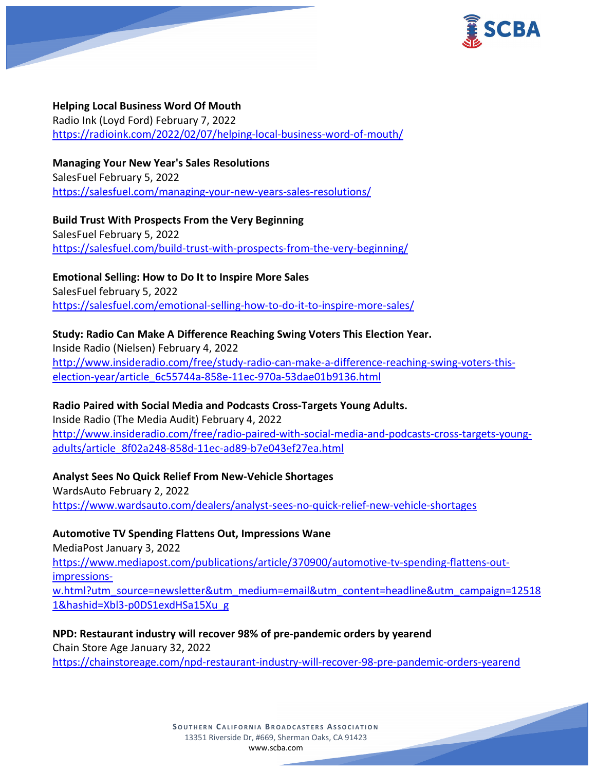

### **Helping Local Business Word Of Mouth**

Radio Ink (Loyd Ford) February 7, 2022 <https://radioink.com/2022/02/07/helping-local-business-word-of-mouth/>

## **Managing Your New Year's Sales Resolutions**

SalesFuel February 5, 2022 <https://salesfuel.com/managing-your-new-years-sales-resolutions/>

### **Build Trust With Prospects From the Very Beginning** SalesFuel February 5, 2022 <https://salesfuel.com/build-trust-with-prospects-from-the-very-beginning/>

**Emotional Selling: How to Do It to Inspire More Sales** SalesFuel february 5, 2022 <https://salesfuel.com/emotional-selling-how-to-do-it-to-inspire-more-sales/>

# **Study: Radio Can Make A Difference Reaching Swing Voters This Election Year.**

Inside Radio (Nielsen) February 4, 2022 [http://www.insideradio.com/free/study-radio-can-make-a-difference-reaching-swing-voters-this](http://www.insideradio.com/free/study-radio-can-make-a-difference-reaching-swing-voters-this-election-year/article_6c55744a-858e-11ec-970a-53dae01b9136.html)[election-year/article\\_6c55744a-858e-11ec-970a-53dae01b9136.html](http://www.insideradio.com/free/study-radio-can-make-a-difference-reaching-swing-voters-this-election-year/article_6c55744a-858e-11ec-970a-53dae01b9136.html)

## **Radio Paired with Social Media and Podcasts Cross-Targets Young Adults.**

Inside Radio (The Media Audit) February 4, 2022 [http://www.insideradio.com/free/radio-paired-with-social-media-and-podcasts-cross-targets-young](http://www.insideradio.com/free/radio-paired-with-social-media-and-podcasts-cross-targets-young-adults/article_8f02a248-858d-11ec-ad89-b7e043ef27ea.html)[adults/article\\_8f02a248-858d-11ec-ad89-b7e043ef27ea.html](http://www.insideradio.com/free/radio-paired-with-social-media-and-podcasts-cross-targets-young-adults/article_8f02a248-858d-11ec-ad89-b7e043ef27ea.html)

### **Analyst Sees No Quick Relief From New-Vehicle Shortages**

WardsAuto February 2, 2022 <https://www.wardsauto.com/dealers/analyst-sees-no-quick-relief-new-vehicle-shortages>

### **Automotive TV Spending Flattens Out, Impressions Wane**

MediaPost January 3, 2022 [https://www.mediapost.com/publications/article/370900/automotive-tv-spending-flattens-out](https://www.mediapost.com/publications/article/370900/automotive-tv-spending-flattens-out-impressions-w.html?utm_source=newsletter&utm_medium=email&utm_content=headline&utm_campaign=125181&hashid=Xbl3-p0DS1exdHSa15Xu_g)[impressions](https://www.mediapost.com/publications/article/370900/automotive-tv-spending-flattens-out-impressions-w.html?utm_source=newsletter&utm_medium=email&utm_content=headline&utm_campaign=125181&hashid=Xbl3-p0DS1exdHSa15Xu_g)[w.html?utm\\_source=newsletter&utm\\_medium=email&utm\\_content=headline&utm\\_campaign=12518](https://www.mediapost.com/publications/article/370900/automotive-tv-spending-flattens-out-impressions-w.html?utm_source=newsletter&utm_medium=email&utm_content=headline&utm_campaign=125181&hashid=Xbl3-p0DS1exdHSa15Xu_g) [1&hashid=Xbl3-p0DS1exdHSa15Xu\\_g](https://www.mediapost.com/publications/article/370900/automotive-tv-spending-flattens-out-impressions-w.html?utm_source=newsletter&utm_medium=email&utm_content=headline&utm_campaign=125181&hashid=Xbl3-p0DS1exdHSa15Xu_g)

## **NPD: Restaurant industry will recover 98% of pre-pandemic orders by yearend**

Chain Store Age January 32, 2022

<https://chainstoreage.com/npd-restaurant-industry-will-recover-98-pre-pandemic-orders-yearend>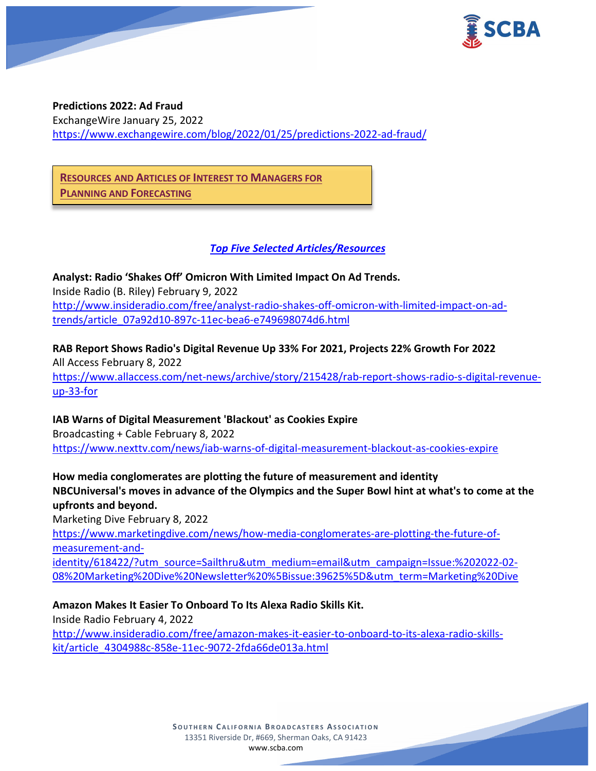



**Predictions 2022: Ad Fraud** ExchangeWire January 25, 2022 <https://www.exchangewire.com/blog/2022/01/25/predictions-2022-ad-fraud/>

**RESOURCES AND ARTICLES OF INTEREST TO MANAGERS FOR PLANNING AND FORECASTING**

*Top Five Selected Articles/Resources*

**Analyst: Radio 'Shakes Off' Omicron With Limited Impact On Ad Trends.** Inside Radio (B. Riley) February 9, 2022 [http://www.insideradio.com/free/analyst-radio-shakes-off-omicron-with-limited-impact-on-ad](http://www.insideradio.com/free/analyst-radio-shakes-off-omicron-with-limited-impact-on-ad-trends/article_07a92d10-897c-11ec-bea6-e749698074d6.html)[trends/article\\_07a92d10-897c-11ec-bea6-e749698074d6.html](http://www.insideradio.com/free/analyst-radio-shakes-off-omicron-with-limited-impact-on-ad-trends/article_07a92d10-897c-11ec-bea6-e749698074d6.html)

**RAB Report Shows Radio's Digital Revenue Up 33% For 2021, Projects 22% Growth For 2022** All Access February 8, 2022 [https://www.allaccess.com/net-news/archive/story/215428/rab-report-shows-radio-s-digital-revenue](https://www.allaccess.com/net-news/archive/story/215428/rab-report-shows-radio-s-digital-revenue-up-33-for)[up-33-for](https://www.allaccess.com/net-news/archive/story/215428/rab-report-shows-radio-s-digital-revenue-up-33-for)

**IAB Warns of Digital Measurement 'Blackout' as Cookies Expire**

Broadcasting + Cable February 8, 2022 <https://www.nexttv.com/news/iab-warns-of-digital-measurement-blackout-as-cookies-expire>

**How media conglomerates are plotting the future of measurement and identity NBCUniversal's moves in advance of the Olympics and the Super Bowl hint at what's to come at the upfronts and beyond.**

Marketing Dive February 8, 2022

[https://www.marketingdive.com/news/how-media-conglomerates-are-plotting-the-future-of](https://www.marketingdive.com/news/how-media-conglomerates-are-plotting-the-future-of-measurement-and-identity/618422/?utm_source=Sailthru&utm_medium=email&utm_campaign=Issue:%202022-02-08%20Marketing%20Dive%20Newsletter%20%5Bissue:39625%5D&utm_term=Marketing%20Dive)[measurement-and-](https://www.marketingdive.com/news/how-media-conglomerates-are-plotting-the-future-of-measurement-and-identity/618422/?utm_source=Sailthru&utm_medium=email&utm_campaign=Issue:%202022-02-08%20Marketing%20Dive%20Newsletter%20%5Bissue:39625%5D&utm_term=Marketing%20Dive)

[identity/618422/?utm\\_source=Sailthru&utm\\_medium=email&utm\\_campaign=Issue:%202022-02-](https://www.marketingdive.com/news/how-media-conglomerates-are-plotting-the-future-of-measurement-and-identity/618422/?utm_source=Sailthru&utm_medium=email&utm_campaign=Issue:%202022-02-08%20Marketing%20Dive%20Newsletter%20%5Bissue:39625%5D&utm_term=Marketing%20Dive) [08%20Marketing%20Dive%20Newsletter%20%5Bissue:39625%5D&utm\\_term=Marketing%20Dive](https://www.marketingdive.com/news/how-media-conglomerates-are-plotting-the-future-of-measurement-and-identity/618422/?utm_source=Sailthru&utm_medium=email&utm_campaign=Issue:%202022-02-08%20Marketing%20Dive%20Newsletter%20%5Bissue:39625%5D&utm_term=Marketing%20Dive)

**Amazon Makes It Easier To Onboard To Its Alexa Radio Skills Kit.** Inside Radio February 4, 2022

[http://www.insideradio.com/free/amazon-makes-it-easier-to-onboard-to-its-alexa-radio-skills](http://www.insideradio.com/free/amazon-makes-it-easier-to-onboard-to-its-alexa-radio-skills-kit/article_4304988c-858e-11ec-9072-2fda66de013a.html)[kit/article\\_4304988c-858e-11ec-9072-2fda66de013a.html](http://www.insideradio.com/free/amazon-makes-it-easier-to-onboard-to-its-alexa-radio-skills-kit/article_4304988c-858e-11ec-9072-2fda66de013a.html)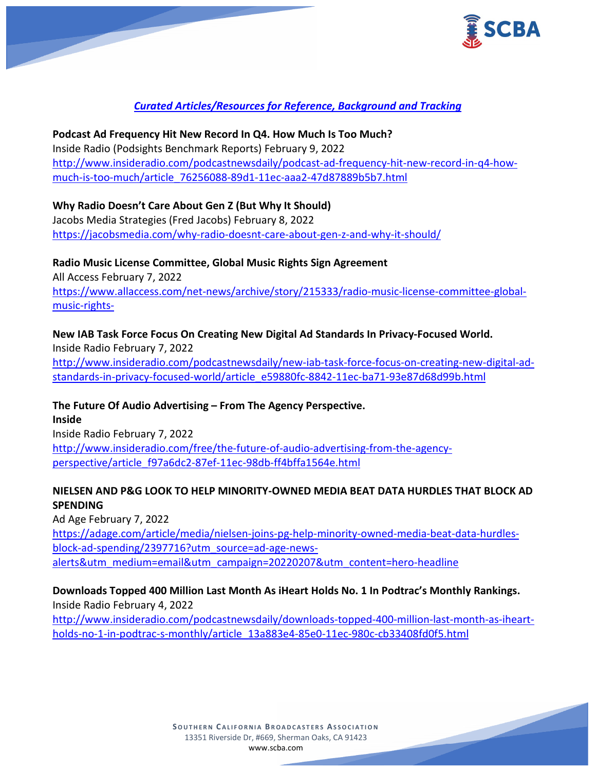

# *Curated Articles/Resources for Reference, Background and Tracking*

**Podcast Ad Frequency Hit New Record In Q4. How Much Is Too Much?** Inside Radio (Podsights Benchmark Reports) February 9, 2022 [http://www.insideradio.com/podcastnewsdaily/podcast-ad-frequency-hit-new-record-in-q4-how](http://www.insideradio.com/podcastnewsdaily/podcast-ad-frequency-hit-new-record-in-q4-how-much-is-too-much/article_76256088-89d1-11ec-aaa2-47d87889b5b7.html)[much-is-too-much/article\\_76256088-89d1-11ec-aaa2-47d87889b5b7.html](http://www.insideradio.com/podcastnewsdaily/podcast-ad-frequency-hit-new-record-in-q4-how-much-is-too-much/article_76256088-89d1-11ec-aaa2-47d87889b5b7.html)

### **Why Radio Doesn't Care About Gen Z (But Why It Should)**

Jacobs Media Strategies (Fred Jacobs) February 8, 2022 <https://jacobsmedia.com/why-radio-doesnt-care-about-gen-z-and-why-it-should/>

**Radio Music License Committee, Global Music Rights Sign Agreement** All Access February 7, 2022 [https://www.allaccess.com/net-news/archive/story/215333/radio-music-license-committee-global](https://www.allaccess.com/net-news/archive/story/215333/radio-music-license-committee-global-music-rights-)[music-rights-](https://www.allaccess.com/net-news/archive/story/215333/radio-music-license-committee-global-music-rights-)

### **New IAB Task Force Focus On Creating New Digital Ad Standards In Privacy-Focused World.**

Inside Radio February 7, 2022 [http://www.insideradio.com/podcastnewsdaily/new-iab-task-force-focus-on-creating-new-digital-ad](http://www.insideradio.com/podcastnewsdaily/new-iab-task-force-focus-on-creating-new-digital-ad-standards-in-privacy-focused-world/article_e59880fc-8842-11ec-ba71-93e87d68d99b.html)[standards-in-privacy-focused-world/article\\_e59880fc-8842-11ec-ba71-93e87d68d99b.html](http://www.insideradio.com/podcastnewsdaily/new-iab-task-force-focus-on-creating-new-digital-ad-standards-in-privacy-focused-world/article_e59880fc-8842-11ec-ba71-93e87d68d99b.html)

### **The Future Of Audio Advertising – From The Agency Perspective.**

**Inside** Inside Radio February 7, 2022 [http://www.insideradio.com/free/the-future-of-audio-advertising-from-the-agency](http://www.insideradio.com/free/the-future-of-audio-advertising-from-the-agency-perspective/article_f97a6dc2-87ef-11ec-98db-ff4bffa1564e.html)[perspective/article\\_f97a6dc2-87ef-11ec-98db-ff4bffa1564e.html](http://www.insideradio.com/free/the-future-of-audio-advertising-from-the-agency-perspective/article_f97a6dc2-87ef-11ec-98db-ff4bffa1564e.html)

### **NIELSEN AND P&G LOOK TO HELP MINORITY-OWNED MEDIA BEAT DATA HURDLES THAT BLOCK AD SPENDING**

Ad Age February 7, 2022 [https://adage.com/article/media/nielsen-joins-pg-help-minority-owned-media-beat-data-hurdles](https://adage.com/article/media/nielsen-joins-pg-help-minority-owned-media-beat-data-hurdles-block-ad-spending/2397716?utm_source=ad-age-news-alerts&utm_medium=email&utm_campaign=20220207&utm_content=hero-headline)[block-ad-spending/2397716?utm\\_source=ad-age-news](https://adage.com/article/media/nielsen-joins-pg-help-minority-owned-media-beat-data-hurdles-block-ad-spending/2397716?utm_source=ad-age-news-alerts&utm_medium=email&utm_campaign=20220207&utm_content=hero-headline)[alerts&utm\\_medium=email&utm\\_campaign=20220207&utm\\_content=hero-headline](https://adage.com/article/media/nielsen-joins-pg-help-minority-owned-media-beat-data-hurdles-block-ad-spending/2397716?utm_source=ad-age-news-alerts&utm_medium=email&utm_campaign=20220207&utm_content=hero-headline)

## **Downloads Topped 400 Million Last Month As iHeart Holds No. 1 In Podtrac's Monthly Rankings.**

Inside Radio February 4, 2022

[http://www.insideradio.com/podcastnewsdaily/downloads-topped-400-million-last-month-as-iheart](http://www.insideradio.com/podcastnewsdaily/downloads-topped-400-million-last-month-as-iheart-holds-no-1-in-podtrac-s-monthly/article_13a883e4-85e0-11ec-980c-cb33408fd0f5.html)[holds-no-1-in-podtrac-s-monthly/article\\_13a883e4-85e0-11ec-980c-cb33408fd0f5.html](http://www.insideradio.com/podcastnewsdaily/downloads-topped-400-million-last-month-as-iheart-holds-no-1-in-podtrac-s-monthly/article_13a883e4-85e0-11ec-980c-cb33408fd0f5.html)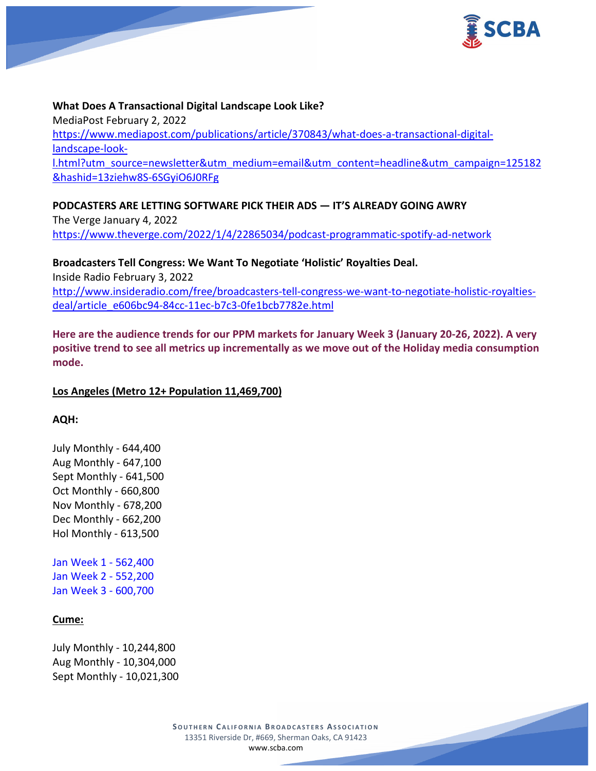

#### **What Does A Transactional Digital Landscape Look Like?**

MediaPost February 2, 2022 [https://www.mediapost.com/publications/article/370843/what-does-a-transactional-digital](https://www.mediapost.com/publications/article/370843/what-does-a-transactional-digital-landscape-look-l.html?utm_source=newsletter&utm_medium=email&utm_content=headline&utm_campaign=125182&hashid=13ziehw8S-6SGyiO6J0RFg)[landscape-look](https://www.mediapost.com/publications/article/370843/what-does-a-transactional-digital-landscape-look-l.html?utm_source=newsletter&utm_medium=email&utm_content=headline&utm_campaign=125182&hashid=13ziehw8S-6SGyiO6J0RFg)[l.html?utm\\_source=newsletter&utm\\_medium=email&utm\\_content=headline&utm\\_campaign=125182](https://www.mediapost.com/publications/article/370843/what-does-a-transactional-digital-landscape-look-l.html?utm_source=newsletter&utm_medium=email&utm_content=headline&utm_campaign=125182&hashid=13ziehw8S-6SGyiO6J0RFg) [&hashid=13ziehw8S-6SGyiO6J0RFg](https://www.mediapost.com/publications/article/370843/what-does-a-transactional-digital-landscape-look-l.html?utm_source=newsletter&utm_medium=email&utm_content=headline&utm_campaign=125182&hashid=13ziehw8S-6SGyiO6J0RFg)

**PODCASTERS ARE LETTING SOFTWARE PICK THEIR ADS — IT'S ALREADY GOING AWRY** The Verge January 4, 2022

<https://www.theverge.com/2022/1/4/22865034/podcast-programmatic-spotify-ad-network>

**Broadcasters Tell Congress: We Want To Negotiate 'Holistic' Royalties Deal.** Inside Radio February 3, 2022 [http://www.insideradio.com/free/broadcasters-tell-congress-we-want-to-negotiate-holistic-royalties](http://www.insideradio.com/free/broadcasters-tell-congress-we-want-to-negotiate-holistic-royalties-deal/article_e606bc94-84cc-11ec-b7c3-0fe1bcb7782e.html)[deal/article\\_e606bc94-84cc-11ec-b7c3-0fe1bcb7782e.html](http://www.insideradio.com/free/broadcasters-tell-congress-we-want-to-negotiate-holistic-royalties-deal/article_e606bc94-84cc-11ec-b7c3-0fe1bcb7782e.html)

**Here are the audience trends for our PPM markets for January Week 3 (January 20-26, 2022). A very positive trend to see all metrics up incrementally as we move out of the Holiday media consumption mode.**

### **Los Angeles (Metro 12+ Population 11,469,700)**

**AQH:**

July Monthly - 644,400 Aug Monthly - 647,100 Sept Monthly - 641,500 Oct Monthly - 660,800 Nov Monthly - 678,200 Dec Monthly - 662,200 Hol Monthly - 613,500

Jan Week 1 - 562,400 Jan Week 2 - 552,200 Jan Week 3 - 600,700

### **Cume:**

July Monthly - 10,244,800 Aug Monthly - 10,304,000 Sept Monthly - 10,021,300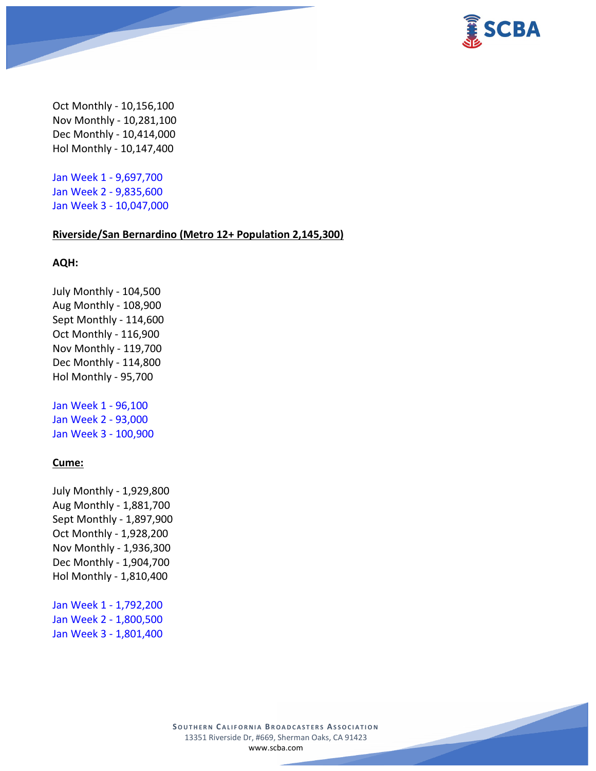

Oct Monthly - 10,156,100 Nov Monthly - 10,281,100 Dec Monthly - 10,414,000 Hol Monthly - 10,147,400

Jan Week 1 - 9,697,700 Jan Week 2 - 9,835,600 Jan Week 3 - 10,047,000

#### **Riverside/San Bernardino (Metro 12+ Population 2,145,300)**

#### **AQH:**

July Monthly - 104,500 Aug Monthly - 108,900 Sept Monthly - 114,600 Oct Monthly - 116,900 Nov Monthly - 119,700 Dec Monthly - 114,800 Hol Monthly - 95,700

Jan Week 1 - 96,100 Jan Week 2 - 93,000 Jan Week 3 - 100,900

#### **Cume:**

July Monthly - 1,929,800 Aug Monthly - 1,881,700 Sept Monthly - 1,897,900 Oct Monthly - 1,928,200 Nov Monthly - 1,936,300 Dec Monthly - 1,904,700 Hol Monthly - 1,810,400

Jan Week 1 - 1,792,200 Jan Week 2 - 1,800,500 Jan Week 3 - 1,801,400